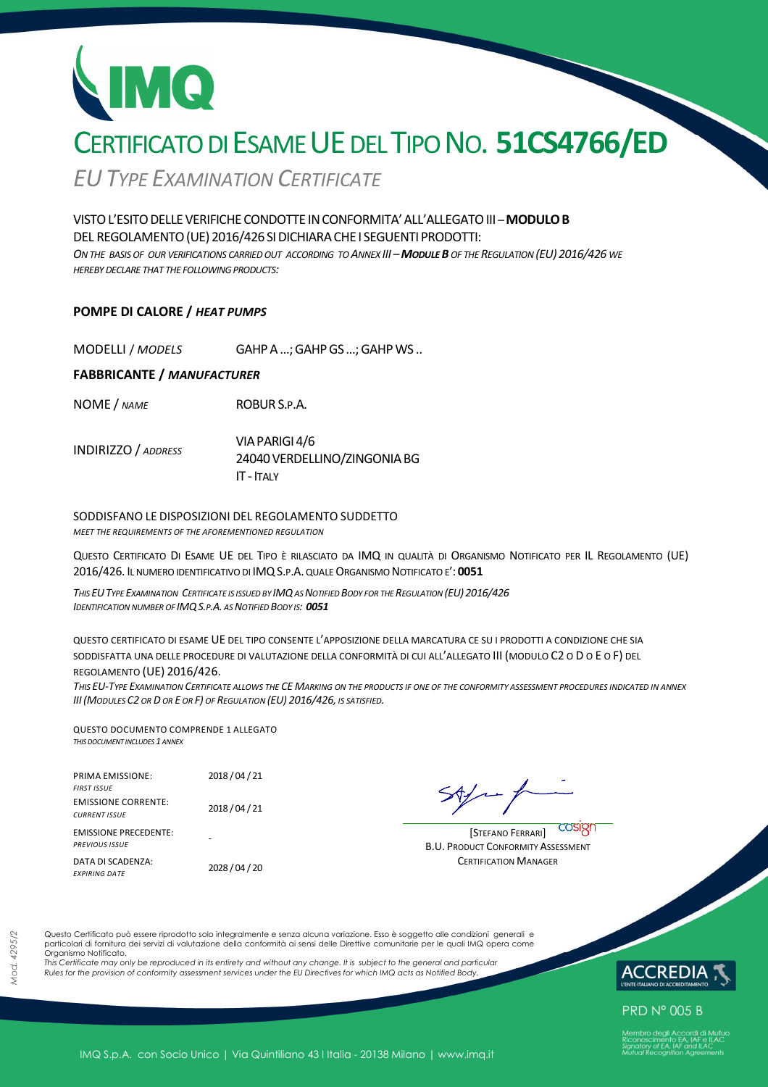# CERTIFICATO DI ESAME UE DEL TIPO NO. **51CS4766/ED**

*EUTYPE EXAMINATION CERTIFICATE*

### VISTOL'ESITODELLEVERIFICHECONDOTTE INCONFORMITA'ALL'ALLEGATOIII *–***MODULOB** DEL REGOLAMENTO (UE) 2016/426 SI DICHIARA CHE I SEGUENTI PRODOTTI:

*ON THE BASIS OF OUR VERIFICATIONS CARRIED OUT ACCORDING TO ANNEX III –MODULE B OF THE REGULATION (EU) 2016/426 WE HEREBY DECLARE THAT THE FOLLOWING PRODUCTS:*

### **POMPE DI CALORE /** *HEAT PUMPS*

MODELLI / *MODELS* GAHPA…;GAHPGS…;GAHPWS ..

### **FABBRICANTE /** *MANUFACTURER*

NOME / *NAME* ROBUR S.P.A.

INDIRIZZO / *ADDRESS* VIAPARIGI 4/6 24040 VERDELLINO/ZINGONIA BG IT - ITALY

### SODDISFANO LE DISPOSIZIONI DEL REGOLAMENTO SUDDETTO

*MEET THE REQUIREMENTS OF THE AFOREMENTIONED REGULATION*

QUESTO CERTIFICATO DI ESAME UE DEL TIPO È RILASCIATO DA IMQ IN QUALITÀ DI ORGANISMO NOTIFICATO PER IL REGOLAMENTO (UE) 2016/426. IL NUMERO IDENTIFICATIVO DI IMQS.P.A. QUALE ORGANISMO NOTIFICATO E': **0051** 

THIS EU TYPE EXAMINATION CERTIFICATE IS ISSUED BY IMQ AS NOTIFIED BODY FOR THE REGULATION (EU) 2016/426 *IDENTIFICATION NUMBER OF IMQS.P.A. AS NOTIFIED BODY IS: 0051*

QUESTO CERTIFICATO DI ESAME UE DEL TIPO CONSENTE L'APPOSIZIONE DELLA MARCATURA CE SU I PRODOTTI A CONDIZIONE CHE SIA SODDISFATTA UNA DELLE PROCEDURE DI VALUTAZIONE DELLA CONFORMITÀ DI CUI ALL'ALLEGATO III (MODULO C2 O D O E O F) DEL REGOLAMENTO (UE) 2016/426.

*THIS EU-TYPE EXAMINATION CERTIFICATE ALLOWS THE CE MARKING ON THE PRODUCTS IF ONE OF THE CONFORMITY ASSESSMENT PROCEDURES INDICATED IN ANNEX III(MODULES C2 OR D OR E OR F) OF REGULATION (EU) 2016/426, IS SATISFIED.* 

QUESTO DOCUMENTO COMPRENDE 1 ALLEGATO *THIS DOCUMENT INCLUDES 1 ANNEX*

| <b>PRIMA EMISSIONE:</b>                                                  | 2018 / 04 / 21 |
|--------------------------------------------------------------------------|----------------|
| <b>FIRST ISSUE</b><br><b>EMISSIONE CORRENTE:</b><br><b>CURRENT ISSUE</b> | 2018 / 04 / 21 |
| <b>EMISSIONE PRECEDENTE:</b><br><b>PREVIOUS ISSUE</b>                    |                |
| DATA DI SCADENZA:<br><b>FXPIRING DATE</b>                                | 2028 / 04 / 20 |

**COSIQT** [STEFANO FERRARI] B.U. PRODUCT CONFORMITY ASSESSMENT **CERTIFICATION MANAGER** 

Questo Certificato può essere riprodotto solo integralmente e senza alcuna variazione. Esso è soggetto alle condizioni generali e particolari di fornitura dei servizi di valutazione della conformità ai sensi delle Direttive comunitarie per le quali IMQ opera come Organismo Notificato.

*This Certificate may only be reproduced in its entirety and without any change. It is subject to the general and particular Rules for the provision of conformity assessment services under the EU Directives for which IMQ acts as Notified Body.* 



**PRD N° 005 B**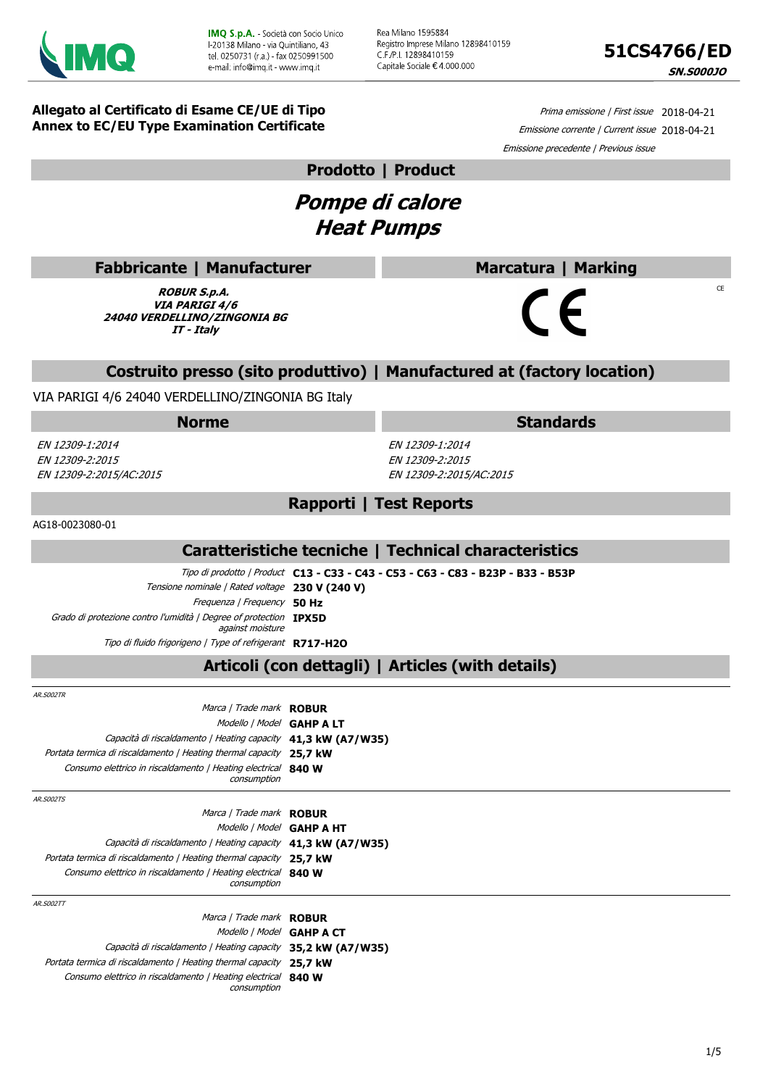

Rea Milano 1595884 Registro Imprese Milano 12898410159 C F /P I. 12898410159 Capitale Sociale € 4.000.000



**Allegato al Certificato di Esame CE/UE di Tipo Annex to EC/EU Type Examination Certificate**

Prima emissione | First issue 2018-04-21 Emissione corrente | Current issue 2018-04-21 Emissione precedente | Previous issue

**Prodotto | Product**

## **Pompe di calore Heat Pumps**

**Fabbricante | Manufacturer**

**ROBUR S.p.A. VIA PARIGI 4/6 24040 VERDELLINO/ZINGONIA BG IT - Italy**

**Marcatura | Marking**

∈

 $CF$ 

**Costruito presso (sito produttivo) | Manufactured at (factory location)**

### VIA PARIGI 4/6 24040 VERDELLINO/ZINGONIA BG Italy

### **Norme Standards**

EN 12309-1:2014 EN 12309-2:2015 EN 12309-2:2015/AC:2015

### **Rapporti | Test Reports**

EN 12309-1:2014 EN 12309-2:2015 EN 12309-2:2015/AC:2015

AG18-0023080-01

### **Caratteristiche tecniche | Technical characteristics**

Tipo di prodotto | Product **C13 - C33 - C43 - C53 - C63 - C83 - B23P - B33 - B53P** Tensione nominale | Rated voltage **230 V (240 V)** Frequenza | Frequency **50 Hz** Grado di protezione contro l'umidità | Degree of protection **IPX5D** against moisture Tipo di fluido frigorigeno | Type of refrigerant **R717-H2O**

**Articoli (con dettagli) | Articles (with details)**

AR.S002TR

AR.S002TT

| Marca / Trade mark <b>ROBUR</b>                                                                                                      |                                                               |
|--------------------------------------------------------------------------------------------------------------------------------------|---------------------------------------------------------------|
| Modello   Model GAHP A LT                                                                                                            |                                                               |
| Capacità di riscaldamento   Heating capacity 41,3 kW (A7/W35)<br>Portata termica di riscaldamento   Heating thermal capacity 25.7 kW |                                                               |
|                                                                                                                                      | Consumo elettrico in riscaldamento   Heating electrical 840 W |
|                                                                                                                                      |                                                               |
| Marca / Trade mark <b>ROBUR</b>                                                                                                      |                                                               |
| Modello   Model GAHP A HT                                                                                                            |                                                               |
| Capacità di riscaldamento   Heating capacity 41,3 kW (A7/W35)                                                                        |                                                               |
|                                                                                                                                      |                                                               |

| Capacità di riscaldamento   Heating capacity 41,3 kW (A7/W                   |  |
|------------------------------------------------------------------------------|--|
| Portata termica di riscaldamento   Heating thermal capacity 25.7 kW          |  |
| Consumo elettrico in riscaldamento   Heating electrical 840 W<br>consumption |  |

| Marca / Trade mark <b>ROBUR</b>                                     |
|---------------------------------------------------------------------|
| Modello   Model <b>GAHP A CT</b>                                    |
| Capacità di riscaldamento   Heating capacity 35,2 kW (A7/W35)       |
| Portata termica di riscaldamento   Heating thermal capacity 25.7 kW |
| Consumo elettrico in riscaldamento   Heating electrical 840 W       |
|                                                                     |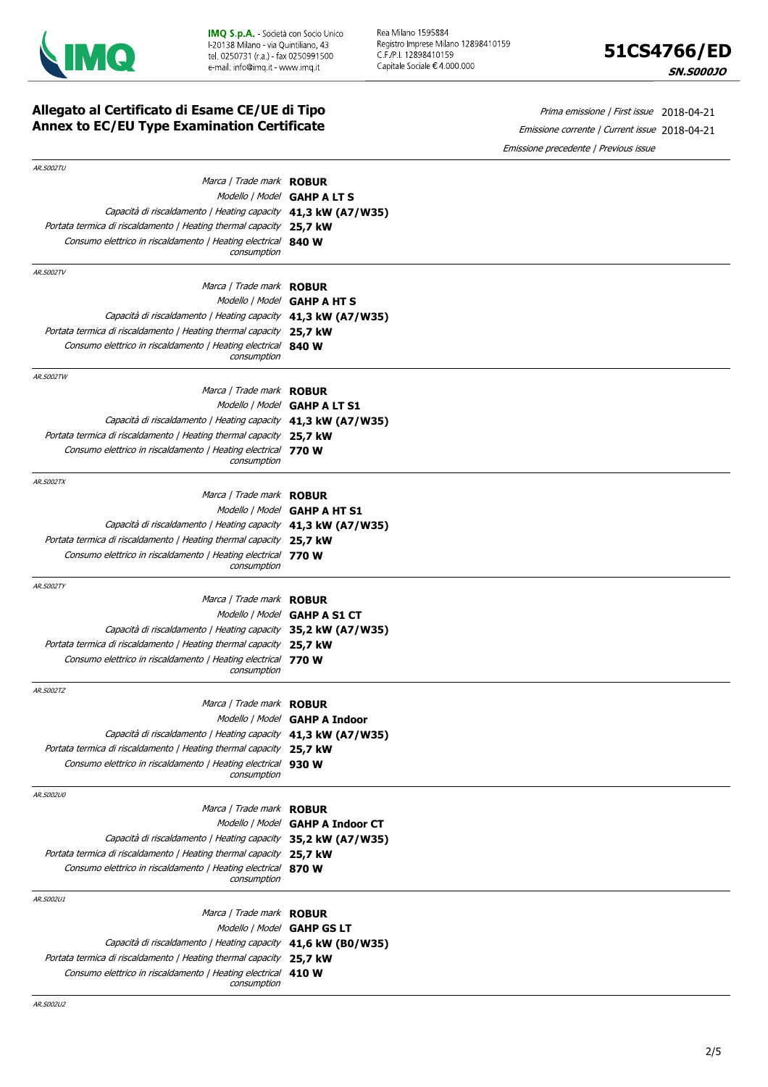

**IMQ S.p.A. -** Società con Socio Unico<br> **L**20138 Milano - via Quintiliano, 43<br>
tel. 0250731 (r.a.) - fax 0250991500<br>
e-mail: info@imq.it - www.imq.it

Rea Milano 1595884 Registro Imprese Milano 12898410159 C.F./P.I. 12898410159 Capitale Sociale €4 000 000



**SN.S000JO** 

### **Allegato al Certificato di Esame CE/UE di Tipo Annex to EC/EU Type Examination Certificate**

Prima emissione | First issue 2018-04-21 Emissione corrente | Current issue 2018-04-21 Emissione precedente | Previous issue

| AR.S002TU                                                                    |                                  |
|------------------------------------------------------------------------------|----------------------------------|
| Marca   Trade mark <b>ROBUR</b>                                              |                                  |
|                                                                              | Modello   Model GAHP A LT S      |
| Capacità di riscaldamento   Heating capacity 41,3 kW (A7/W35)                |                                  |
| Portata termica di riscaldamento   Heating thermal capacity 25,7 kW          |                                  |
| Consumo elettrico in riscaldamento   Heating electrical 840 W<br>consumption |                                  |
| AR.S002TV                                                                    |                                  |
| Marca   Trade mark <b>ROBUR</b>                                              |                                  |
|                                                                              | Modello   Model GAHP A HT S      |
| Capacità di riscaldamento   Heating capacity 41,3 kW (A7/W35)                |                                  |
| Portata termica di riscaldamento   Heating thermal capacity 25,7 kW          |                                  |
| Consumo elettrico in riscaldamento   Heating electrical 840 W                |                                  |
| consumption                                                                  |                                  |
| AR.S002TW                                                                    |                                  |
| Marca   Trade mark <b>ROBUR</b>                                              |                                  |
|                                                                              | Modello   Model GAHP A LT S1     |
| Capacità di riscaldamento   Heating capacity 41,3 kW (A7/W35)                |                                  |
| Portata termica di riscaldamento   Heating thermal capacity 25,7 kW          |                                  |
| Consumo elettrico in riscaldamento   Heating electrical 770 W                |                                  |
| consumption                                                                  |                                  |
| AR.S002TX                                                                    |                                  |
| Marca / Trade mark <b>ROBUR</b>                                              |                                  |
|                                                                              | Modello   Model GAHP A HT S1     |
| Capacità di riscaldamento   Heating capacity 41,3 kW (A7/W35)                |                                  |
| Portata termica di riscaldamento   Heating thermal capacity 25,7 kW          |                                  |
| Consumo elettrico in riscaldamento   Heating electrical 770 W                |                                  |
| consumption                                                                  |                                  |
| AR.S002TY                                                                    |                                  |
| Marca / Trade mark ROBUR                                                     |                                  |
|                                                                              | Modello   Model GAHP A S1 CT     |
| Capacità di riscaldamento   Heating capacity 35,2 kW (A7/W35)                |                                  |
| Portata termica di riscaldamento   Heating thermal capacity 25,7 kW          |                                  |
| Consumo elettrico in riscaldamento   Heating electrical 770 W                |                                  |
| consumption                                                                  |                                  |
| AR.S002TZ                                                                    |                                  |
| Marca / Trade mark ROBUR                                                     |                                  |
|                                                                              | Modello   Model GAHP A Indoor    |
| Capacità di riscaldamento   Heating capacity 41,3 kW (A7/W35)                |                                  |
| Portata termica di riscaldamento   Heating thermal capacity 25,7 kW          |                                  |
| Consumo elettrico in riscaldamento   Heating electrical 930 W                |                                  |
| consumption                                                                  |                                  |
| AR.S002U0                                                                    |                                  |
| Marca   Trade mark <b>ROBUR</b>                                              |                                  |
|                                                                              | Modello   Model GAHP A Indoor CT |
| Capacità di riscaldamento   Heating capacity 35,2 kW (A7/W35)                |                                  |
| Portata termica di riscaldamento   Heating thermal capacity                  | 25,7 kW                          |
| Consumo elettrico in riscaldamento   Heating electrical 870 W<br>consumption |                                  |
| AR.S002U1                                                                    |                                  |
| Marca / Trade mark ROBUR                                                     |                                  |
|                                                                              | Modello   Model GAHP GS LT       |
| Capacità di riscaldamento   Heating capacity 41,6 kW (B0/W35)                |                                  |
| Portata termica di riscaldamento   Heating thermal capacity 25,7 kW          |                                  |
| Consumo elettrico in riscaldamento   Heating electrical 410 W                |                                  |
| consumption                                                                  |                                  |
| AR.S002U2                                                                    |                                  |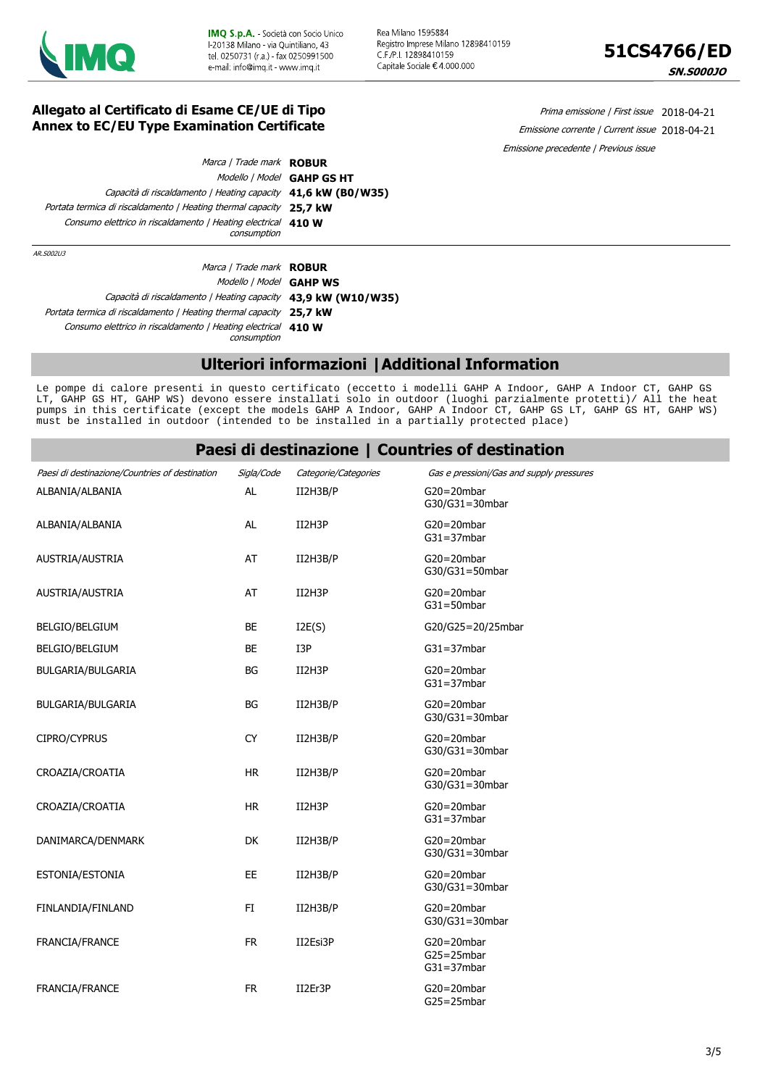

Rea Milano 1595884 Registro Imprese Milano 12898410159 C.F./P.I. 12898410159 Capitale Sociale € 4.000.000



Prima emissione | First issue 2018-04-21 Emissione corrente | Current issue 2018-04-21

Emissione precedente | Previous issue

**SN.S000JO** 

#### **Allegato al Certificato di Esame CE/UE di Tipo Annex to EC/EU Type Examination Certificate**

|                            | Marca / Trade mark <b>ROBUR</b>                                              |
|----------------------------|------------------------------------------------------------------------------|
| Modello   Model GAHP GS HT |                                                                              |
|                            | Capacità di riscaldamento   Heating capacity 41,6 kW (B0/W35)                |
|                            | Portata termica di riscaldamento   Heating thermal capacity 25.7 kW          |
|                            | Consumo elettrico in riscaldamento   Heating electrical 410 W<br>consumption |
|                            | AR. S002U3                                                                   |
|                            | Marca / Trade mark ROBUR                                                     |

Modello | Model **GAHP WS**

Capacità di riscaldamento | Heating capacity **43,9 kW (W10/W35)**

Portata termica di riscaldamento | Heating thermal capacity **25,7 kW**

Consumo elettrico in riscaldamento | Heating electrical **410 W** consumption

### **Ulteriori informazioni |Additional Information**

Le pompe di calore presenti in questo certificato (eccetto i modelli GAHP A Indoor, GAHP A Indoor CT, GAHP GS LT, GAHP GS HT, GAHP WS) devono essere installati solo in outdoor (luoghi parzialmente protetti)/ All the heat pumps in this certificate (except the models GAHP A Indoor, GAHP A Indoor CT, GAHP GS LT, GAHP GS HT, GAHP WS) must be installed in outdoor (intended to be installed in a partially protected place)

### **Paesi di destinazione | Countries of destination**

| Paesi di destinazione/Countries of destination | Sigla/Code | Categorie/Categories | Gas e pressioni/Gas and supply pressures             |
|------------------------------------------------|------------|----------------------|------------------------------------------------------|
| ALBANIA/ALBANIA                                | AL         | II2H3B/P             | $G20 = 20$ mbar<br>G30/G31=30mbar                    |
| ALBANIA/ALBANIA                                | <b>AL</b>  | II2H3P               | $G20 = 20$ mbar<br>$G31 = 37mbar$                    |
| AUSTRIA/AUSTRIA                                | AT         | II2H3B/P             | $G20 = 20$ mbar<br>G30/G31=50mbar                    |
| AUSTRIA/AUSTRIA                                | AT         | II2H3P               | $G20 = 20$ mbar<br>$G31 = 50$ mbar                   |
| BELGIO/BELGIUM                                 | <b>BE</b>  | I2E(S)               | G20/G25=20/25mbar                                    |
| BELGIO/BELGIUM                                 | <b>BE</b>  | I3P                  | $G31 = 37mbar$                                       |
| BULGARIA/BULGARIA                              | BG         | II2H3P               | $G20 = 20$ mbar<br>$G31 = 37mbar$                    |
| BULGARIA/BULGARIA                              | <b>BG</b>  | II2H3B/P             | $G20 = 20$ mbar<br>G30/G31=30mbar                    |
| <b>CIPRO/CYPRUS</b>                            | <b>CY</b>  | II2H3B/P             | $G20 = 20$ mbar<br>G30/G31=30mbar                    |
| CROAZIA/CROATIA                                | <b>HR</b>  | II2H3B/P             | $G20 = 20$ mbar<br>G30/G31=30mbar                    |
| CROAZIA/CROATIA                                | <b>HR</b>  | II2H3P               | $G20 = 20$ mbar<br>$G31 = 37mbar$                    |
| DANIMARCA/DENMARK                              | <b>DK</b>  | II2H3B/P             | $G20 = 20$ mbar<br>G30/G31=30mbar                    |
| ESTONIA/ESTONIA                                | <b>EE</b>  | II2H3B/P             | $G20 = 20$ mbar<br>G30/G31=30mbar                    |
| FINLANDIA/FINLAND                              | FI         | II2H3B/P             | $G20 = 20$ mbar<br>G30/G31=30mbar                    |
| FRANCIA/FRANCE                                 | <b>FR</b>  | II2Esi3P             | $G20 = 20$ mbar<br>$G25 = 25$ mbar<br>$G31 = 37mbar$ |
| FRANCIA/FRANCE                                 | <b>FR</b>  | II2Er3P              | $G20 = 20$ mbar<br>G25=25mbar                        |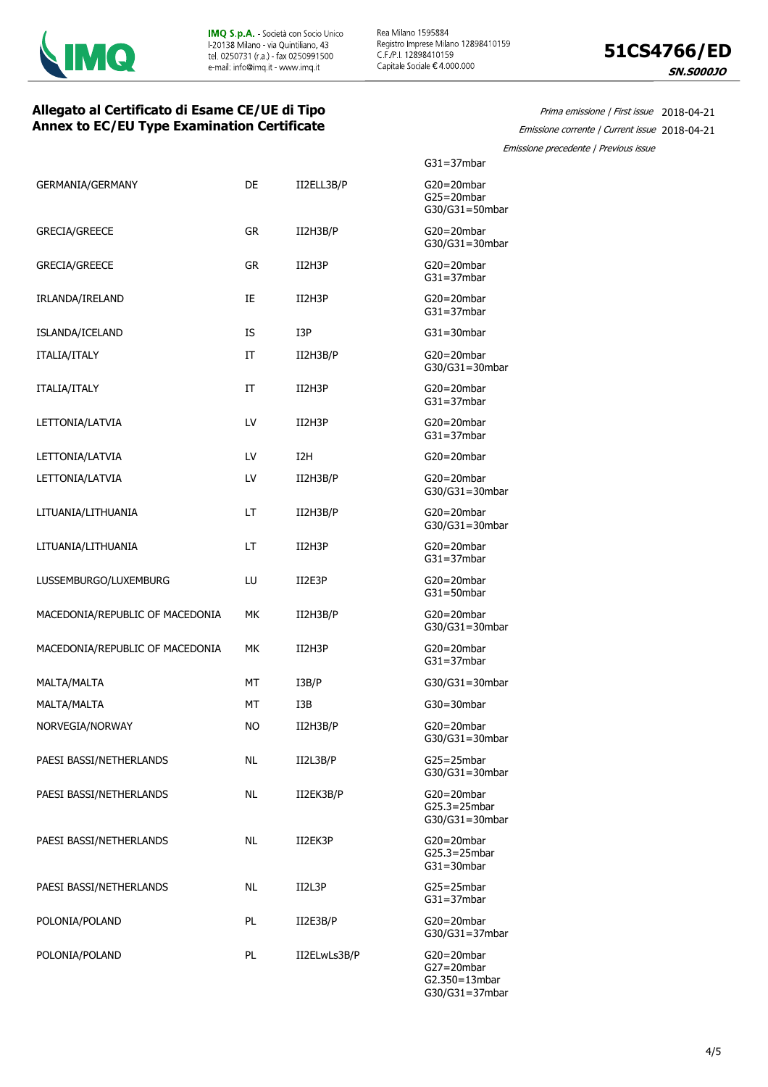

Rea Milano 1595884 Registro Imprese Milano 12898410159 C.F./P.I. 12898410159 Capitale Sociale €4 000 000



Prima emissione | First issue 2018-04-21 Emissione corrente | Current issue 2018-04-21

### **SN.S000JO**

### **Allegato al Certificato di Esame CE/UE di Tipo Annex to EC/EU Type Examination Certificate**

|                                 |                |                  | Emissione precedente   Previous issue                                |
|---------------------------------|----------------|------------------|----------------------------------------------------------------------|
|                                 |                |                  | $G31 = 37mbar$                                                       |
| GERMANIA/GERMANY                | DE             | II2ELL3B/P       | $G20 = 20$ mbar<br>G25=20mbar<br>G30/G31=50mbar                      |
| <b>GRECIA/GREECE</b>            | <b>GR</b>      | II2H3B/P         | $G20 = 20$ mbar<br>G30/G31=30mbar                                    |
| <b>GRECIA/GREECE</b>            | <b>GR</b>      | II2H3P           | $G20 = 20$ mbar<br>$G31 = 37mbar$                                    |
| IRLANDA/IRELAND                 | IE             | II2H3P           | $G20 = 20$ mbar<br>$G31 = 37mbar$                                    |
| ISLANDA/ICELAND                 | IS             | I3P              | $G31 = 30$ mbar                                                      |
| ITALIA/ITALY                    | $_{\text{IT}}$ | II2H3B/P         | $G20 = 20$ mbar<br>G30/G31=30mbar                                    |
| ITALIA/ITALY                    | $_{\text{IT}}$ | II2H3P           | $G20 = 20$ mbar<br>$G31 = 37mbar$                                    |
| LETTONIA/LATVIA                 | LV             | II2H3P           | $G20 = 20$ mbar<br>$G31 = 37mbar$                                    |
| LETTONIA/LATVIA                 | LV             | I <sub>2</sub> H | $G20 = 20$ mbar                                                      |
| LETTONIA/LATVIA                 | LV             | II2H3B/P         | $G20 = 20$ mbar<br>G30/G31=30mbar                                    |
| LITUANIA/LITHUANIA              | LT             | II2H3B/P         | $G20 = 20$ mbar<br>G30/G31=30mbar                                    |
| LITUANIA/LITHUANIA              | LT             | II2H3P           | $G20 = 20$ mbar<br>$G31 = 37mbar$                                    |
| LUSSEMBURGO/LUXEMBURG           | LU             | II2E3P           | $G20 = 20$ mbar<br>$G31 = 50$ mbar                                   |
| MACEDONIA/REPUBLIC OF MACEDONIA | МK             | II2H3B/P         | $G20 = 20$ mbar<br>G30/G31=30mbar                                    |
| MACEDONIA/REPUBLIC OF MACEDONIA | МK             | II2H3P           | $G20 = 20$ mbar<br>$G31 = 37mbar$                                    |
| MALTA/MALTA                     | MT             | I3B/P            | G30/G31=30mbar                                                       |
| MALTA/MALTA                     | МT             | I3B              | $G30 = 30$ mbar                                                      |
| NORVEGIA/NORWAY                 | <b>NO</b>      | II2H3B/P         | $G20 = 20$ mbar<br>G30/G31=30mbar                                    |
| PAESI BASSI/NETHERLANDS         | <b>NL</b>      | II2L3B/P         | $G25 = 25$ mbar<br>G30/G31=30mbar                                    |
| PAESI BASSI/NETHERLANDS         | <b>NL</b>      | II2EK3B/P        | $G20 = 20$ mbar<br>G25.3=25mbar<br>G30/G31=30mbar                    |
| PAESI BASSI/NETHERLANDS         | <b>NL</b>      | II2EK3P          | $G20 = 20$ mbar<br>$G25.3=25mbar$<br>$G31 = 30mbar$                  |
| PAESI BASSI/NETHERLANDS         | <b>NL</b>      | II2L3P           | $G25 = 25$ mbar<br>$G31 = 37mbar$                                    |
| POLONIA/POLAND                  | PL             | II2E3B/P         | $G20 = 20$ mbar<br>G30/G31=37mbar                                    |
| POLONIA/POLAND                  | PL             | II2ELwLs3B/P     | $G20 = 20$ mbar<br>$G27 = 20mbar$<br>G2.350=13mbar<br>G30/G31=37mbar |